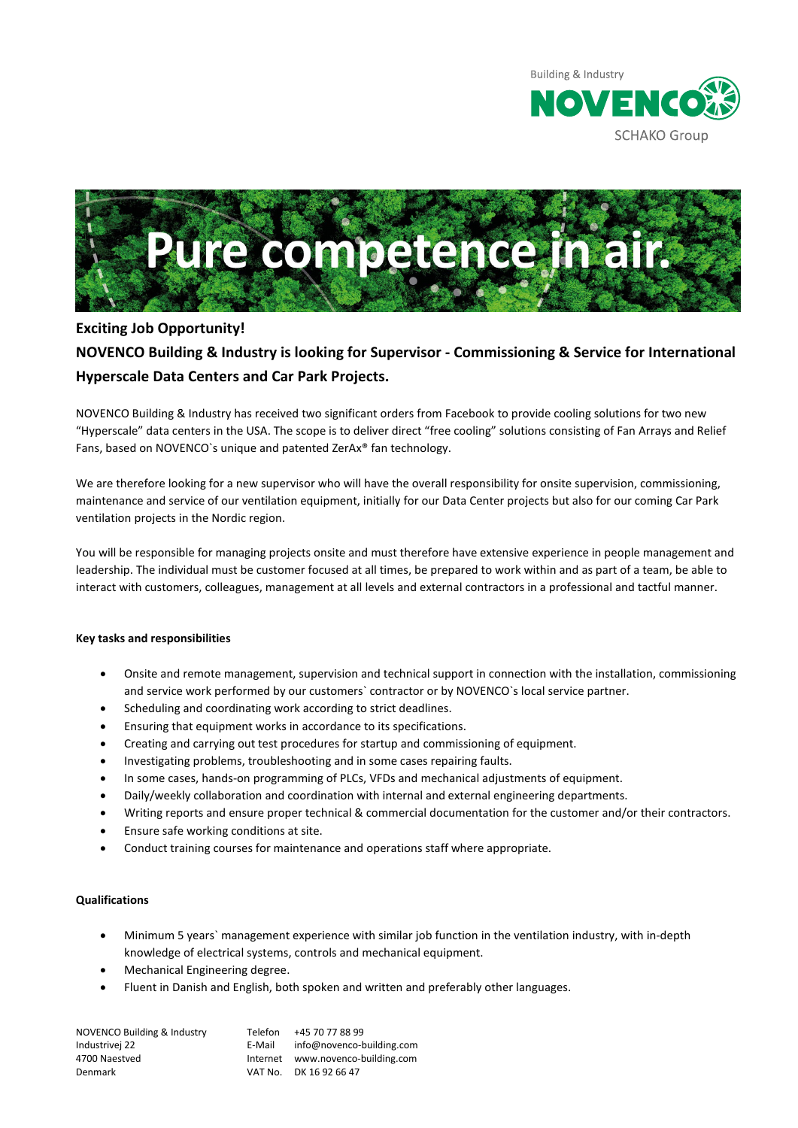



## **Exciting Job Opportunity!**

# **NOVENCO Building & Industry is looking for Supervisor - Commissioning & Service for International Hyperscale Data Centers and Car Park Projects.**

NOVENCO Building & Industry has received two significant orders from Facebook to provide cooling solutions for two new "Hyperscale" data centers in the USA. The scope is to deliver direct "free cooling" solutions consisting of Fan Arrays and Relief Fans, based on NOVENCO`s unique and patented ZerAx® fan technology.

We are therefore looking for a new supervisor who will have the overall responsibility for onsite supervision, commissioning, maintenance and service of our ventilation equipment, initially for our Data Center projects but also for our coming Car Park ventilation projects in the Nordic region.

You will be responsible for managing projects onsite and must therefore have extensive experience in people management and leadership. The individual must be customer focused at all times, be prepared to work within and as part of a team, be able to interact with customers, colleagues, management at all levels and external contractors in a professional and tactful manner.

### **Key tasks and responsibilities**

- Onsite and remote management, supervision and technical support in connection with the installation, commissioning and service work performed by our customers` contractor or by NOVENCO`s local service partner.
- Scheduling and coordinating work according to strict deadlines.
- Ensuring that equipment works in accordance to its specifications.
- Creating and carrying out test procedures for startup and commissioning of equipment.
- Investigating problems, troubleshooting and in some cases repairing faults.
- In some cases, hands-on programming of PLCs, VFDs and mechanical adjustments of equipment.
- Daily/weekly collaboration and coordination with internal and external engineering departments.
- Writing reports and ensure proper technical & commercial documentation for the customer and/or their contractors.
- Ensure safe working conditions at site.
- Conduct training courses for maintenance and operations staff where appropriate.

### **Qualifications**

- Minimum 5 years` management experience with similar job function in the ventilation industry, with in-depth knowledge of electrical systems, controls and mechanical equipment.
- Mechanical Engineering degree.
- Fluent in Danish and English, both spoken and written and preferably other languages.

| <b>NOVENCO Building &amp; Industry</b><br>Industrivej 22 | Telefon<br>E-Mail | +45 70 77 88 99<br>info@novenco-building.com |
|----------------------------------------------------------|-------------------|----------------------------------------------|
| 4700 Naestved                                            |                   | Internet www.novenco-building.com            |
| Denmark                                                  |                   | VAT No. DK 16 92 66 47                       |